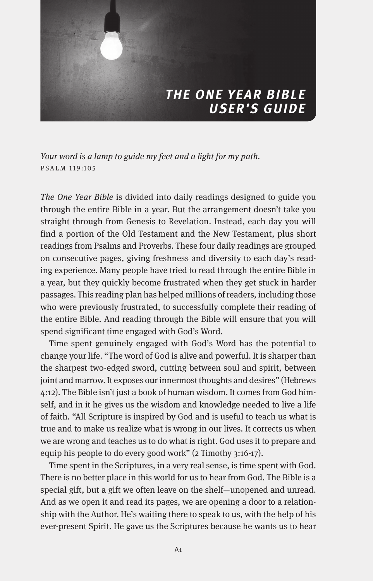

Your word is a lamp to guide my feet and a light for my path. PSALM 119:105

The One Year Bible is divided into daily readings designed to guide you through the entire Bible in a year. But the arrangement doesn't take you straight through from Genesis to Revelation. Instead, each day you will find a portion of the Old Testament and the New Testament, plus short readings from Psalms and Proverbs. These four daily readings are grouped on consecutive pages, giving freshness and diversity to each day's reading experience. Many people have tried to read through the entire Bible in a year, but they quickly become frustrated when they get stuck in harder passages. This reading plan has helped millions of readers, including those who were previously frustrated, to successfully complete their reading of the entire Bible. And reading through the Bible will ensure that you will spend significant time engaged with God's Word.

Time spent genuinely engaged with God's Word has the potential to change your life. "The word of God is alive and powerful. It is sharper than the sharpest two- edged sword, cutting between soul and spirit, between joint and marrow. It exposes our innermost thoughts and desires" (Hebrews 4:12). The Bible isn't just a book of human wisdom. It comes from God himself, and in it he gives us the wisdom and knowledge needed to live a life of faith. "All Scripture is inspired by God and is useful to teach us what is true and to make us realize what is wrong in our lives. It corrects us when we are wrong and teaches us to do what is right. God uses it to prepare and equip his people to do every good work" (2 Timothy 3:16-17).

Time spent in the Scriptures, in a very real sense, is time spent with God. There is no better place in this world for us to hear from God. The Bible is a special gift, but a gift we often leave on the shelf—unopened and unread. And as we open it and read its pages, we are opening a door to a relationship with the Author. He's waiting there to speak to us, with the help of his ever-present Spirit. He gave us the Scriptures because he wants us to hear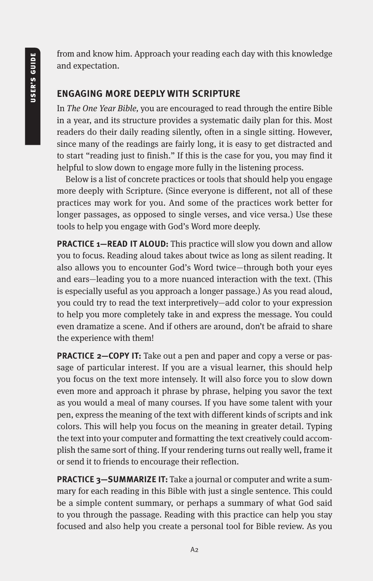from and know him. Approach your reading each day with this knowledge and expectation.

## **ENGAGING MORE DEEPLY WITH SCRIPTURE**

In The One Year Bible, you are encouraged to read through the entire Bible in a year, and its structure provides a systematic daily plan for this. Most readers do their daily reading silently, often in a single sitting. However, since many of the readings are fairly long, it is easy to get distracted and to start "reading just to finish." If this is the case for you, you may find it helpful to slow down to engage more fully in the listening process.

Below is a list of concrete practices or tools that should help you engage more deeply with Scripture. (Since everyone is different, not all of these practices may work for you. And some of the practices work better for longer passages, as opposed to single verses, and vice versa.) Use these tools to help you engage with God's Word more deeply.

**PRACTICE 1-READ IT ALOUD:** This practice will slow you down and allow you to focus. Reading aloud takes about twice as long as silent reading. It also allows you to encounter God's Word twice— through both your eyes and ears—leading you to a more nuanced interaction with the text. (This is especially useful as you approach a longer passage.) As you read aloud, you could try to read the text interpretively—add color to your expression to help you more completely take in and express the message. You could even dramatize a scene. And if others are around, don't be afraid to share the experience with them!

**PRACTICE 2-COPY IT:** Take out a pen and paper and copy a verse or passage of particular interest. If you are a visual learner, this should help you focus on the text more intensely. It will also force you to slow down even more and approach it phrase by phrase, helping you savor the text as you would a meal of many courses. If you have some talent with your pen, express the meaning of the text with different kinds of scripts and ink colors. This will help you focus on the meaning in greater detail. Typing the text into your computer and formatting the text creatively could accomplish the same sort of thing. If your rendering turns out really well, frame it or send it to friends to encourage their reflection.

**PRACTICE 3—SUMMARIZE IT:** Take a journal or computer and write a summary for each reading in this Bible with just a single sentence. This could be a simple content summary, or perhaps a summary of what God said to you through the passage. Reading with this practice can help you stay focused and also help you create a personal tool for Bible review. As you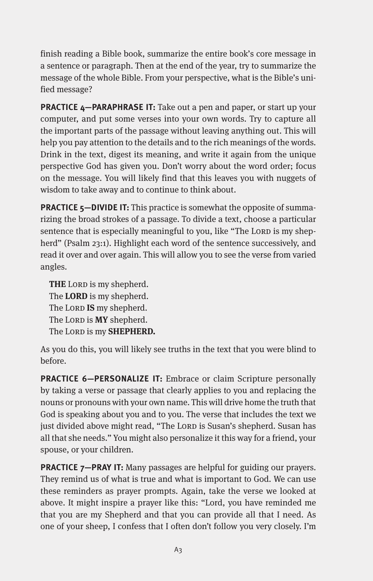finish reading a Bible book, summarize the entire book's core message in a sentence or paragraph. Then at the end of the year, try to summarize the message of the whole Bible. From your perspective, what is the Bible's unified message?

**PRACTICE 4-PARAPHRASE IT:** Take out a pen and paper, or start up your computer, and put some verses into your own words. Try to capture all the important parts of the passage without leaving anything out. This will help you pay attention to the details and to the rich meanings of the words. Drink in the text, digest its meaning, and write it again from the unique perspective God has given you. Don't worry about the word order; focus on the message. You will likely find that this leaves you with nuggets of wisdom to take away and to continue to think about.

**PRACTICE 5-DIVIDE IT:** This practice is somewhat the opposite of summarizing the broad strokes of a passage. To divide a text, choose a particular sentence that is especially meaningful to you, like "The LORD is my shepherd" (Psalm 23:1). Highlight each word of the sentence successively, and read it over and over again. This will allow you to see the verse from varied angles.

THE LORD is my shepherd. The **LORD** is my shepherd. The LORD **IS** my shepherd. The LORD is **MY** shepherd. The Lord is my **SHEPHERD.**

As you do this, you will likely see truths in the text that you were blind to before.

**PRACTICE 6—PERSONALIZE IT:** Embrace or claim Scripture personally by taking a verse or passage that clearly applies to you and replacing the nouns or pronouns with your own name. This will drive home the truth that God is speaking about you and to you. The verse that includes the text we just divided above might read, "The LORD is Susan's shepherd. Susan has all that she needs." You might also personalize it this way for a friend, your spouse, or your children.

**PRACTICE 7-PRAY IT:** Many passages are helpful for guiding our prayers. They remind us of what is true and what is important to God. We can use these reminders as prayer prompts. Again, take the verse we looked at above. It might inspire a prayer like this: "Lord, you have reminded me that you are my Shepherd and that you can provide all that I need. As one of your sheep, I confess that I often don't follow you very closely. I'm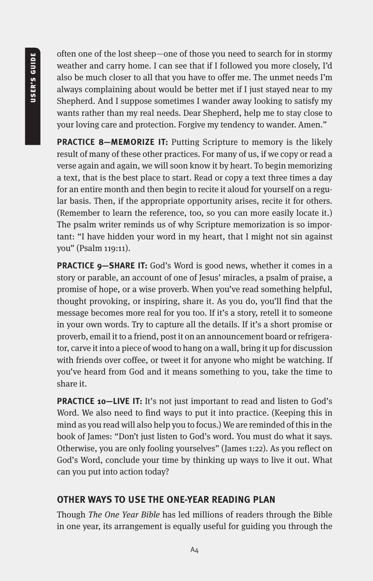**USER'S GUIDE** USER'S GUIDE

often one of the lost sheep—one of those you need to search for in stormy weather and carry home. I can see that if I followed you more closely, I'd also be much closer to all that you have to offer me. The unmet needs I'm always complaining about would be better met if I just stayed near to my Shepherd. And I suppose sometimes I wander away looking to satisfy my wants rather than my real needs. Dear Shepherd, help me to stay close to your loving care and protection. Forgive my tendency to wander. Amen."

**PRACTICE 8—MEMORIZE IT:** Putting Scripture to memory is the likely result of many of these other practices. For many of us, if we copy or read a verse again and again, we will soon know it by heart. To begin memorizing a text, that is the best place to start. Read or copy a text three times a day for an entire month and then begin to recite it aloud for yourself on a regular basis. Then, if the appropriate opportunity arises, recite it for others. (Remember to learn the reference, too, so you can more easily locate it.) The psalm writer reminds us of why Scripture memorization is so important: "I have hidden your word in my heart, that I might not sin against you" (Psalm 119:11).

**PRACTICE 9-SHARE IT:** God's Word is good news, whether it comes in a story or parable, an account of one of Jesus' miracles, a psalm of praise, a promise of hope, or a wise proverb. When you've read something helpful, thought provoking, or inspiring, share it. As you do, you'll find that the message becomes more real for you too. If it's a story, retell it to someone in your own words. Try to capture all the details. If it's a short promise or proverb, email it to a friend, post it on an announcement board or refrigerator, carve it into a piece of wood to hang on a wall, bring it up for discussion with friends over coffee, or tweet it for anyone who might be watching. If you've heard from God and it means something to you, take the time to share it.

**PRACTICE 10-LIVE IT:** It's not just important to read and listen to God's Word. We also need to find ways to put it into practice. (Keeping this in mind as you read will also help you to focus.) We are reminded of this in the book of James: "Don't just listen to God's word. You must do what it says. Otherwise, you are only fooling yourselves" (James 1:22). As you reflect on God's Word, conclude your time by thinking up ways to live it out. What can you put into action today?

## **OTHER WAYS TO USE THE ONE-YEAR READING PLAN**

Though The One Year Bible has led millions of readers through the Bible in one year, its arrangement is equally useful for guiding you through the